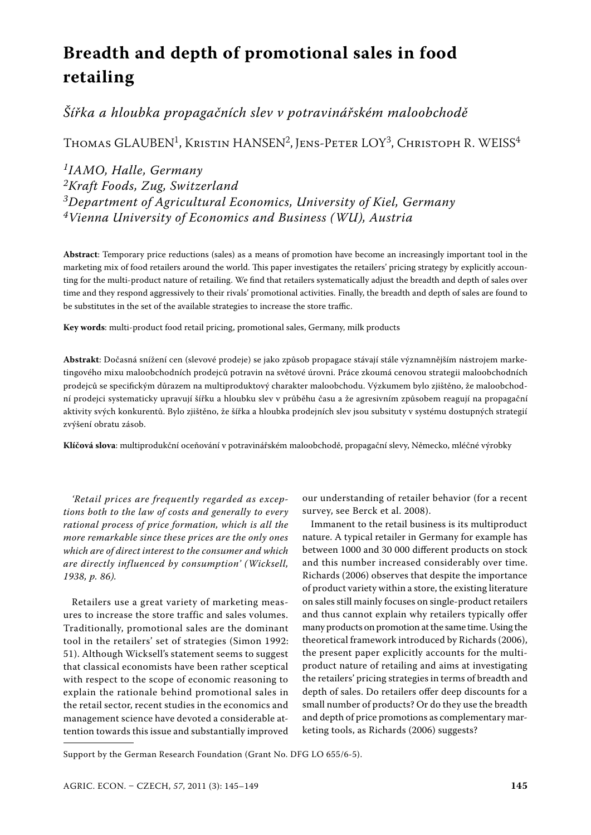# **Breadth and depth of promotional sales in food retailing**

# *Šířka a hloubka propagačních slev v potravinářském maloobchodě*

THOMAS GLAUBEN<sup>1</sup>, KRISTIN HANSEN<sup>2</sup>, JENS-PETER LOY<sup>3</sup>, CHRISTOPH R. WEISS<sup>4</sup>

# *1IAMO, Halle, Germany 2Kraft Foods, Zug, Switzerland 3Department of Agricultural Economics, University of Kiel, Germany 4Vienna University of Economics and Business (WU), Austria*

**Abstract**: Temporary price reductions (sales) as a means of promotion have become an increasingly important tool in the marketing mix of food retailers around the world. This paper investigates the retailers' pricing strategy by explicitly accounting for the multi-product nature of retailing. We find that retailers systematically adjust the breadth and depth of sales over time and they respond aggressively to their rivals' promotional activities. Finally, the breadth and depth of sales are found to be substitutes in the set of the available strategies to increase the store traffic.

**Key words**: multi-product food retail pricing, promotional sales, Germany, milk products

**Abstrakt**: Dočasná snížení cen (slevové prodeje) se jako způsob propagace stávají stále významnějším nástrojem marketingového mixu maloobchodních prodejců potravin na světové úrovni. Práce zkoumá cenovou strategii maloobchodních prodejců se specifickým důrazem na multiproduktový charakter maloobchodu. Výzkumem bylo zjištěno, že maloobchodní prodejci systematicky upravují šířku a hloubku slev v průběhu času a že agresivním způsobem reagují na propagační aktivity svých konkurentů. Bylo zjištěno, že šířka a hloubka prodejních slev jsou subsituty v systému dostupných strategií zvýšení obratu zásob.

**Klíčová slova**: multiprodukční oceňování v potravinářském maloobchodě, propagační slevy, Německo, mléčné výrobky

*'Retail prices are frequently regarded as exceptions both to the law of costs and generally to every rational process of price formation, which is all the more remarkable since these prices are the only ones which are of direct interest to the consumer and which are directly influenced by consumption' (Wicksell, 1938, p. 86).*

Retailers use a great variety of marketing measures to increase the store traffic and sales volumes. Traditionally, promotional sales are the dominant tool in the retailers' set of strategies (Simon 1992: 51). Although Wicksell's statement seems to suggest that classical economists have been rather sceptical with respect to the scope of economic reasoning to explain the rationale behind promotional sales in the retail sector, recent studies in the economics and management science have devoted a considerable attention towards this issue and substantially improved

our understanding of retailer behavior (for a recent survey, see Berck et al. 2008).

Immanent to the retail business is its multiproduct nature. A typical retailer in Germany for example has between 1000 and 30 000 different products on stock and this number increased considerably over time. Richards (2006) observes that despite the importance of product variety within a store, the existing literature on sales still mainly focuses on single-product retailers and thus cannot explain why retailers typically offer many products on promotion at the same time. Using the theoretical framework introduced by Richards (2006), the present paper explicitly accounts for the multiproduct nature of retailing and aims at investigating the retailers' pricing strategies in terms of breadth and depth of sales. Do retailers offer deep discounts for a small number of products? Or do they use the breadth and depth of price promotions as complementary marketing tools, as Richards (2006) suggests?

Support by the German Research Foundation (Grant No. DFG LO 655/6-5).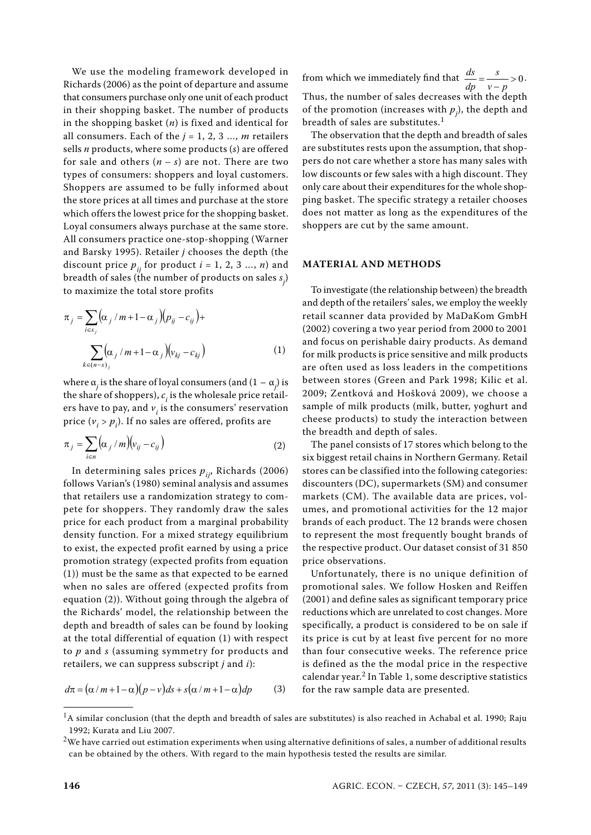We use the modeling framework developed in Richards (2006) as the point of departure and assume that consumers purchase only one unit of each product in their shopping basket. The number of products in the shopping basket (*n*) is fixed and identical for all consumers. Each of the  $j = 1, 2, 3, \ldots, m$  retailers sells *n* products, where some products (*s*) are offered for sale and others  $(n - s)$  are not. There are two types of consumers: shoppers and loyal customers. Shoppers are assumed to be fully informed about the store prices at all times and purchase at the store which offers the lowest price for the shopping basket. Loyal consumers always purchase at the same store. All consumers practice one-stop-shopping (Warner and Barsky 1995). Retailer *j* chooses the depth (the discount price  $p_{ij}$  for product  $i = 1, 2, 3 ..., n$ ) and breadth of sales (the number of products on sales  $s_j$ ) to maximize the total store profits

$$
\pi_j = \sum_{i \in s_j} (\alpha_j / m + 1 - \alpha_j)(p_{ij} - c_{ij}) +
$$
\nretail\n  
\n(2002)\n  
\n
$$
\sum_{k \in (n-s)_j} (\alpha_j / m + 1 - \alpha_j)(v_{kj} - c_{kj})
$$
\n(1)\n  
\nand for  
\nfor mi\n  
\nare of

where  $\alpha_j$  is the share of loyal consumers (and (1 –  $\alpha_j$ ) is the share of shoppers),  $c_i$  is the wholesale price retailers have to pay, and  $v_i$  is the consumers' reservation price ( $v_i > p_i$ ). If no sales are offered, profits are

$$
\pi_j = \sum_{i \in n} \left( \alpha_j / m \right) \left( v_{ij} - c_{ij} \right) \tag{2}
$$

In determining sales prices  $p_{ij}$ , Richards (2006) follows Varian's (1980) seminal analysis and assumes that retailers use a randomization strategy to compete for shoppers. They randomly draw the sales price for each product from a marginal probability density function. For a mixed strategy equilibrium to exist, the expected profit earned by using a price promotion strategy (expected profits from equation (1)) must be the same as that expected to be earned when no sales are offered (expected profits from equation (2)). Without going through the algebra of the Richards' model, the relationship between the depth and breadth of sales can be found by looking at the total differential of equation (1) with respect to *p* and *s* (assuming symmetry for products and retailers, we can suppress subscript *j* and *i*):

$$
d\pi = (\alpha/m + 1 - \alpha)(p - v)ds + s(\alpha/m + 1 - \alpha)dp
$$
 (3)

from which we immediately find that  $\frac{ds}{dp} = \frac{s}{v - p} > 0$  $\frac{ds}{dp} = \frac{s}{v - p} > 0.$ Thus, the number of sales decreases with the depth of the promotion (increases with  $p_j$ ), the depth and breadth of sales are substitutes.<sup>1</sup>

The observation that the depth and breadth of sales are substitutes rests upon the assumption, that shoppers do not care whether a store has many sales with low discounts or few sales with a high discount. They only care about their expenditures for the whole shopping basket. The specific strategy a retailer chooses does not matter as long as the expenditures of the shoppers are cut by the same amount.

## **MATERIAL AND METHODS**

*j j kj kj* retail scanner data provided by MaDaKom GmbH To investigate (the relationship between) the breadth and depth of the retailers' sales, we employ the weekly (2002) covering a two year period from 2000 to 2001 and focus on perishable dairy products. As demand for milk products is price sensitive and milk products are often used as loss leaders in the competitions between stores (Green and Park 1998; Kilic et al. 2009; Zentková and Hošková 2009), we choose a sample of milk products (milk, butter, yoghurt and cheese products) to study the interaction between the breadth and depth of sales.

> The panel consists of 17 stores which belong to the six biggest retail chains in Northern Germany. Retail stores can be classified into the following categories: discounters (DC), supermarkets (SM) and consumer markets (CM). The available data are prices, volumes, and promotional activities for the 12 major brands of each product. The 12 brands were chosen to represent the most frequently bought brands of the respective product. Our dataset consist of 31 850 price observations.

> Unfortunately, there is no unique definition of promotional sales. We follow Hosken and Reiffen (2001) and define sales as significant temporary price reductions which are unrelated to cost changes. More specifically, a product is considered to be on sale if its price is cut by at least five percent for no more than four consecutive weeks. The reference price is defined as the the modal price in the respective calendar year.<sup>2</sup> In Table 1, some descriptive statistics for the raw sample data are presented.

 $<sup>1</sup>A$  similar conclusion (that the depth and breadth of sales are substitutes) is also reached in Achabal et al. 1990; Raju</sup> 1992; Kurata and Liu 2007.

 $2$ We have carried out estimation experiments when using alternative definitions of sales, a number of additional results can be obtained by the others. With regard to the main hypothesis tested the results are similar.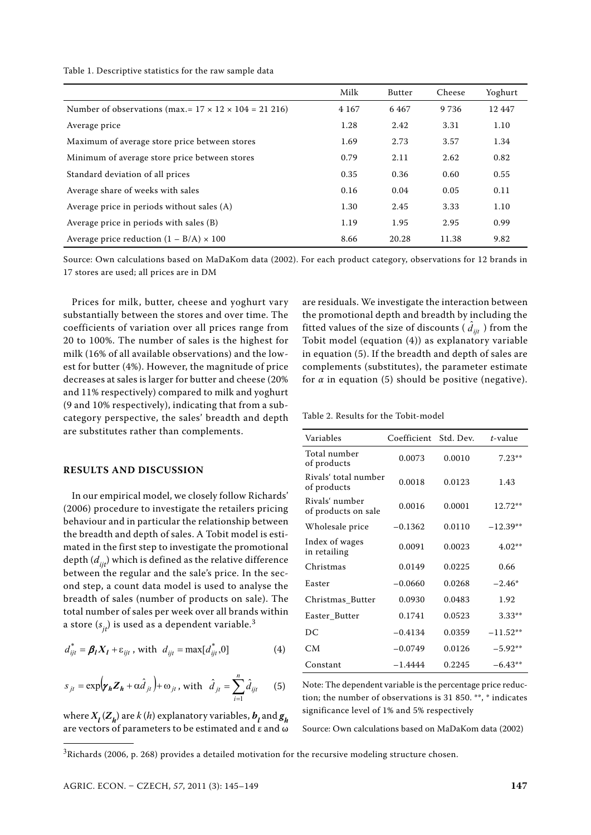|  |  |  |  |  |  |  | Table 1. Descriptive statistics for the raw sample data |  |  |  |  |  |  |  |  |
|--|--|--|--|--|--|--|---------------------------------------------------------|--|--|--|--|--|--|--|--|
|--|--|--|--|--|--|--|---------------------------------------------------------|--|--|--|--|--|--|--|--|

|                                                                   | Milk    | Butter | Cheese  | Yoghurt  |
|-------------------------------------------------------------------|---------|--------|---------|----------|
| Number of observations (max.= $17 \times 12 \times 104 = 21216$ ) | 4 1 6 7 | 6467   | 9 7 3 6 | 12 4 4 7 |
| Average price                                                     | 1.28    | 2.42   | 3.31    | 1.10     |
| Maximum of average store price between stores                     | 1.69    | 2.73   | 3.57    | 1.34     |
| Minimum of average store price between stores                     | 0.79    | 2.11   | 2.62    | 0.82     |
| Standard deviation of all prices                                  | 0.35    | 0.36   | 0.60    | 0.55     |
| Average share of weeks with sales                                 | 0.16    | 0.04   | 0.05    | 0.11     |
| Average price in periods without sales $(A)$                      | 1.30    | 2.45   | 3.33    | 1.10     |
| Average price in periods with sales (B)                           | 1.19    | 1.95   | 2.95    | 0.99     |
| Average price reduction $(1 - B/A) \times 100$                    | 8.66    | 20.28  | 11.38   | 9.82     |

Source: Own calculations based on MaDaKom data (2002). For each product category, observations for 12 brands in 17 stores are used; all prices are in DM

Prices for milk, butter, cheese and yoghurt vary substantially between the stores and over time. The coefficients of variation over all prices range from 20 to 100%. The number of sales is the highest for milk (16% of all available observations) and the lowest for butter (4%). However, the magnitude of price decreases at sales is larger for butter and cheese (20% and 11% respectively) compared to milk and yoghurt (9 and 10% respectively), indicating that from a subcategory perspective, the sales' breadth and depth are substitutes rather than complements.

#### **RESULTS AND DISCUSSION**

In our empirical model, we closely follow Richards' (2006) procedure to investigate the retailers pricing behaviour and in particular the relationship between the breadth and depth of sales. A Tobit model is estimated in the first step to investigate the promotional depth  $(d_{ijt})$  which is defined as the relative difference between the regular and the sale's price. In the second step, a count data model is used to analyse the breadth of sales (number of products on sale). The total number of sales per week over all brands within a store  $(s_{it})$  is used as a dependent variable.<sup>3</sup>

$$
d_{ijt}^* = \beta_l X_l + \varepsilon_{ijt} \text{, with } d_{ijt} = \max[d_{ijt}^*, 0] \tag{4}
$$

$$
s_{jt} = \exp(\mathbf{y_h} \mathbf{Z_h} + \alpha \hat{d}_{jt}) + \omega_{jt}, \text{ with } \hat{d}_{jt} = \sum_{i=1}^{n} \hat{d}_{ijt} \qquad (5)
$$

where  $X_l(Z_h)$  are  $k(h)$  explanatory variables,  $\boldsymbol{b}_l$  and  $\boldsymbol{g}_h$ are vectors of parameters to be estimated and ε and ω

are residuals. We investigate the interaction between the promotional depth and breadth by including the fitted values of the size of discounts (  $\hat{d}_{ijt}$  ) from the Tobit model (equation (4)) as explanatory variable in equation (5). If the breadth and depth of sales are complements (substitutes), the parameter estimate for  $\alpha$  in equation (5) should be positive (negative).

Table 2. Results for the Tobit-model

| Variables                             | Coefficient Std. Dev. |        | $t$ -value |
|---------------------------------------|-----------------------|--------|------------|
| Total number<br>of products           | 0.0073                | 0.0010 | $7.23**$   |
| Rivals' total number<br>of products   | 0.0018                | 0.0123 | 1.43       |
| Rivals' number<br>of products on sale | 0.0016                | 0.0001 | $12.72**$  |
| Wholesale price                       | $-0.1362$             | 0.0110 | $-12.39**$ |
| Index of wages<br>in retailing        | 0.0091                | 0.0023 | $4.02**$   |
| Christmas                             | 0.0149                | 0.0225 | 0.66       |
| Easter                                | $-0.0660$             | 0.0268 | $-2.46*$   |
| Christmas Butter                      | 0.0930                | 0.0483 | 1.92       |
| Easter_Butter                         | 0.1741                | 0.0523 | $3.33**$   |
| DC                                    | $-0.4134$             | 0.0359 | $-11.52**$ |
| <b>CM</b>                             | $-0.0749$             | 0.0126 | $-5.92**$  |
| Constant                              | $-1.4444$             | 0.2245 | $-6.43**$  |

Note: The dependent variable is the percentage price reduction; the number of observations is 31 850. \*\*, \* indicates significance level of 1% and 5% respectively

Source: Own calculations based on MaDaKom data (2002)

 $3$ Richards (2006, p. 268) provides a detailed motivation for the recursive modeling structure chosen.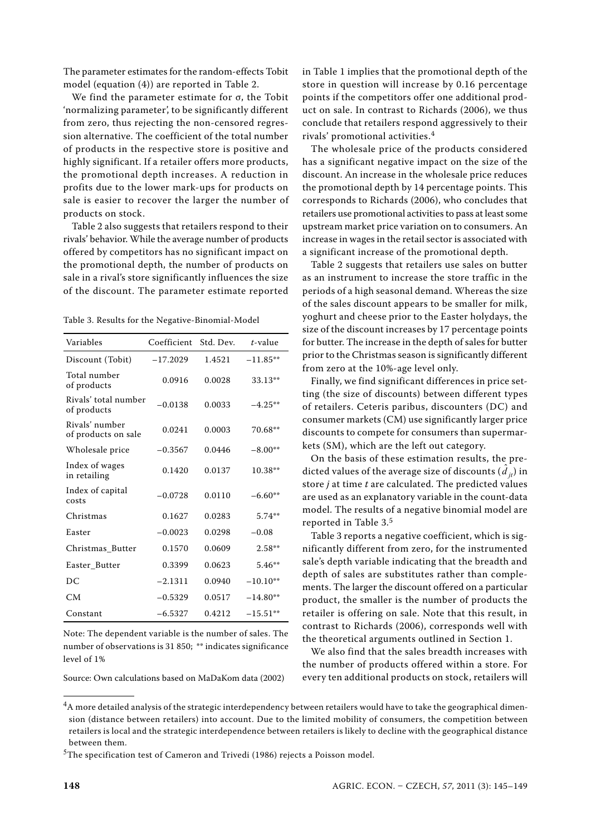The parameter estimates for the random-effects Tobit model (equation (4)) are reported in Table 2.

We find the parameter estimate for σ, the Tobit 'normalizing parameter', to be significantly different from zero, thus rejecting the non-censored regression alternative. The coefficient of the total number of products in the respective store is positive and highly significant. If a retailer offers more products, the promotional depth increases. A reduction in profits due to the lower mark-ups for products on sale is easier to recover the larger the number of products on stock.

Table 2 also suggests that retailers respond to their rivals' behavior. While the average number of products offered by competitors has no significant impact on the promotional depth, the number of products on sale in a rival's store significantly influences the size of the discount. The parameter estimate reported

Table 3. Results for the Negative-Binomial-Model

| Variables                             | Coefficient | Std. Dev. | $t$ -value |
|---------------------------------------|-------------|-----------|------------|
|                                       |             |           |            |
| Discount (Tobit)                      | $-17.2029$  | 1.4521    | $-11.85**$ |
| Total number<br>of products           | 0.0916      | 0.0028    | 33.13**    |
| Rivals' total number<br>of products   | $-0.0138$   | 0.0033    | $-4.25**$  |
| Rivals' number<br>of products on sale | 0.0241      | 0.0003    | 70.68**    |
| Wholesale price                       | $-0.3567$   | 0.0446    | $-8.00**$  |
| Index of wages<br>in retailing        | 0.1420      | 0.0137    | 10.38**    |
| Index of capital<br>costs             | $-0.0728$   | 0.0110    | $-6.60**$  |
| Christmas                             | 0.1627      | 0.0283    | $5.74**$   |
| Easter                                | $-0.0023$   | 0.0298    | $-0.08$    |
| Christmas Butter                      | 0.1570      | 0.0609    | $2.58**$   |
| Easter Butter                         | 0.3399      | 0.0623    | $5.46**$   |
| DC                                    | $-2.1311$   | 0.0940    | $-10.10**$ |
| CM <sub></sub>                        | $-0.5329$   | 0.0517    | $-14.80**$ |
| Constant                              | $-6.5327$   | 0.4212    | $-15.51**$ |

Note: The dependent variable is the number of sales. The number of observations is 31 850; \*\* indicates significance level of 1%

Source: Own calculations based on MaDaKom data (2002)

in Table 1 implies that the promotional depth of the store in question will increase by 0.16 percentage points if the competitors offer one additional product on sale. In contrast to Richards (2006), we thus conclude that retailers respond aggressively to their rivals' promotional activities.<sup>4</sup>

The wholesale price of the products considered has a significant negative impact on the size of the discount. An increase in the wholesale price reduces the promotional depth by 14 percentage points. This corresponds to Richards (2006), who concludes that retailers use promotional activities to pass at least some upstream market price variation on to consumers. An increase in wages in the retail sector is associated with a significant increase of the promotional depth.

Table 2 suggests that retailers use sales on butter as an instrument to increase the store traffic in the periods of a high seasonal demand. Whereas the size of the sales discount appears to be smaller for milk, yoghurt and cheese prior to the Easter holydays, the size of the discount increases by 17 percentage points for butter. The increase in the depth of sales for butter prior to the Christmas season is significantly different from zero at the 10%-age level only.

Finally, we find significant differences in price setting (the size of discounts) between different types of retailers. Ceteris paribus, discounters (DC) and consumer markets (CM) use significantly larger price discounts to compete for consumers than supermarkets (SM), which are the left out category.

On the basis of these estimation results, the predicted values of the average size of discounts  $(\hat{d}_{jt}^T)$  in store *j* at time *t* are calculated. The predicted values are used as an explanatory variable in the count-data model. The results of a negative binomial model are reported in Table 3.<sup>5</sup>

Table 3 reports a negative coefficient, which is significantly different from zero, for the instrumented sale's depth variable indicating that the breadth and depth of sales are substitutes rather than complements. The larger the discount offered on a particular product, the smaller is the number of products the retailer is offering on sale. Note that this result, in contrast to Richards (2006), corresponds well with the theoretical arguments outlined in Section 1.

We also find that the sales breadth increases with the number of products offered within a store. For every ten additional products on stock, retailers will

 $4A$  more detailed analysis of the strategic interdependency between retailers would have to take the geographical dimension (distance between retailers) into account. Due to the limited mobility of consumers, the competition between retailers is local and the strategic interdependence between retailers is likely to decline with the geographical distance between them.

<sup>&</sup>lt;sup>5</sup>The specification test of Cameron and Trivedi (1986) rejects a Poisson model.